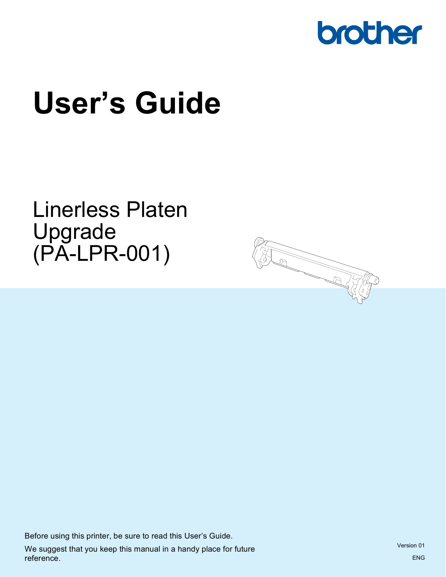

# **User's Guide**

Linerless Platen Upgrade (PA-LPR-001)



Before using this printer, be sure to read this User's Guide. We suggest that you keep this manual in a handy place for future reference.

Version 01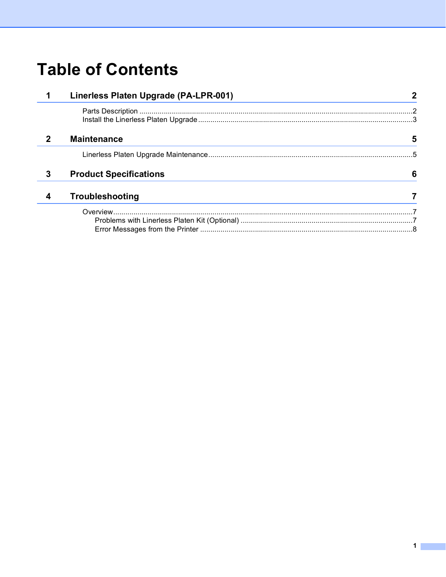## **Table of Contents**

|             | Linerless Platen Upgrade (PA-LPR-001) |   |
|-------------|---------------------------------------|---|
|             |                                       |   |
| $\mathbf 2$ | <b>Maintenance</b>                    | 5 |
|             |                                       |   |
| 3           | <b>Product Specifications</b>         | 6 |
| 4           | Troubleshooting                       |   |
|             |                                       |   |
|             |                                       |   |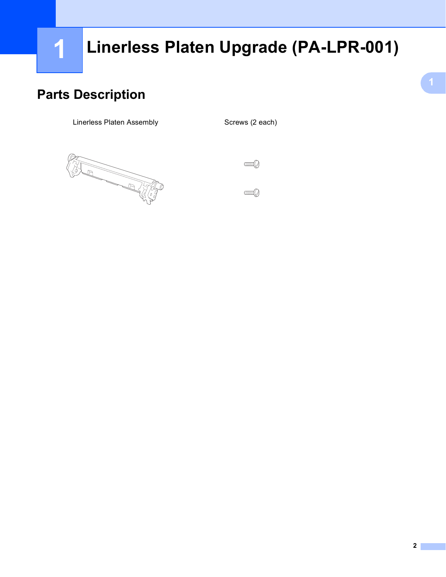# <span id="page-2-0"></span>**Linerless Platen Upgrade (PA-LPR-001) <sup>1</sup>**

### <span id="page-2-1"></span>**Parts Description**

Linerless Platen Assembly Screws (2 each)



 $\mathbb{C}$ 

 $\mathbb{C}$  and  $\mathbb{C}$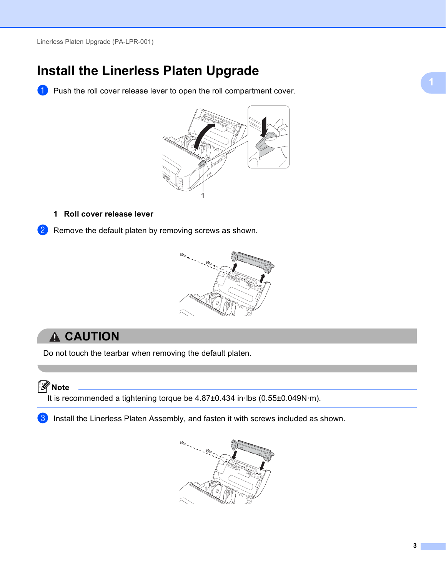### <span id="page-3-0"></span>**Install the Linerless Platen Upgrade**

**1** Push the roll cover release lever to open the roll compartment cover.



#### **1 Roll cover release lever**

2 Remove the default platen by removing screws as shown.



#### **A CAUTION**

Do not touch the tearbar when removing the default platen.

**Note**

It is recommended a tightening torque be 4.87±0.434 in·lbs (0.55±0.049N·m).

 $3$  Install the Linerless Platen Assembly, and fasten it with screws included as shown.

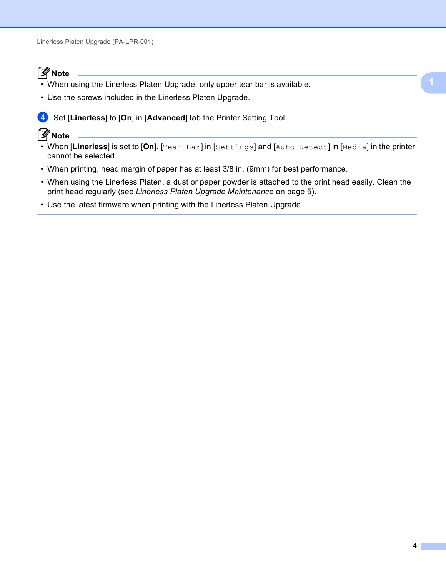#### **Note**

- When using the Linerless Platen Upgrade, only upper tear bar is available.
- Use the screws included in the Linerless Platen Upgrade.
- **4** Set [Linerless] to [On] in [Advanced] tab the Printer Setting Tool.

#### **Note**

- When [**Linerless**] is set to [**On**], [Tear Bar] in [Settings] and [Auto Detect] in [Media] in the printer cannot be selected.
- When printing, head margin of paper has at least 3/8 in. (9mm) for best performance.
- When using the Linerless Platen, a dust or paper powder is attached to the print head easily. Clean the print head regularly (see *[Linerless Platen Upgrade Maintenance](#page-5-2)* on page 5).
- Use the latest firmware when printing with the Linerless Platen Upgrade.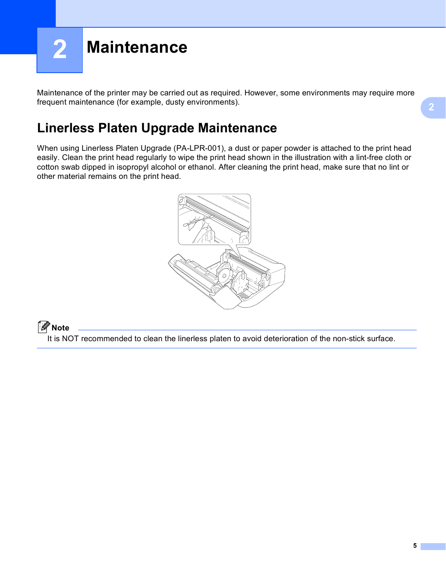<span id="page-5-0"></span>

Maintenance of the printer may be carried out as required. However, some environments may require more frequent maintenance (for example, dusty environments).

### <span id="page-5-2"></span><span id="page-5-1"></span>**Linerless Platen Upgrade Maintenance <sup>2</sup>**

When using Linerless Platen Upgrade (PA-LPR-001), a dust or paper powder is attached to the print head easily. Clean the print head regularly to wipe the print head shown in the illustration with a lint-free cloth or cotton swab dipped in isopropyl alcohol or ethanol. After cleaning the print head, make sure that no lint or other material remains on the print head.



#### **Note**

It is NOT recommended to clean the linerless platen to avoid deterioration of the non-stick surface.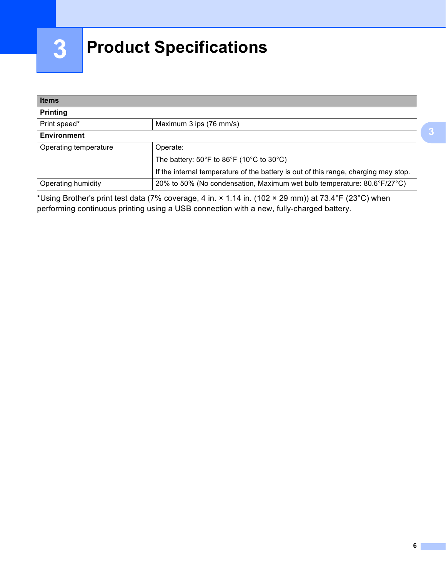# <span id="page-6-0"></span>**Product Specifications <sup>3</sup>**

| <b>Items</b><br><b>Printing</b> |                                                                                     |  |  |  |
|---------------------------------|-------------------------------------------------------------------------------------|--|--|--|
|                                 |                                                                                     |  |  |  |
| <b>Environment</b>              |                                                                                     |  |  |  |
| Operating temperature           | Operate:                                                                            |  |  |  |
|                                 | The battery: $50^{\circ}$ F to $86^{\circ}$ F (10 $^{\circ}$ C to 30 $^{\circ}$ C)  |  |  |  |
|                                 | If the internal temperature of the battery is out of this range, charging may stop. |  |  |  |
| Operating humidity              | 20% to 50% (No condensation, Maximum wet bulb temperature: 80.6°F/27°C)             |  |  |  |

\*Using Brother's print test data (7% coverage, 4 in. × 1.14 in. (102 × 29 mm)) at 73.4°F (23°C) when performing continuous printing using a USB connection with a new, fully-charged battery.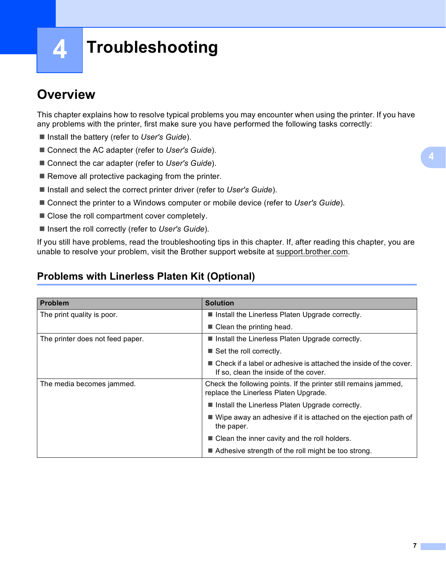**4**

# <span id="page-7-0"></span>**Troubleshooting <sup>4</sup>**

### <span id="page-7-1"></span>**Overview <sup>4</sup>**

This chapter explains how to resolve typical problems you may encounter when using the printer. If you have any problems with the printer, first make sure you have performed the following tasks correctly:

- Install the battery (refer to User's Guide).
- Connect the AC adapter (refer to *User's Guide*).
- Connect the car adapter (refer to *User's Guide*).
- $\blacksquare$  Remove all protective packaging from the printer.
- Install and select the correct printer driver (refer to *User's Guide*).
- Connect the printer to a Windows computer or mobile device (refer to *User's Guide*).
- Close the roll compartment cover completely.
- Insert the roll correctly (refer to *User's Guide*).

If you still have problems, read the troubleshooting tips in this chapter. If, after reading this chapter, you are unable to resolve your problem, visit the Brother support website at [support.brother.com.](https://support.brother.com)

#### <span id="page-7-2"></span>**Problems with Linerless Platen Kit (Optional) <sup>4</sup>**

| <b>Problem</b>                   | <b>Solution</b>                                                                                                           |
|----------------------------------|---------------------------------------------------------------------------------------------------------------------------|
| The print quality is poor.       | Install the Linerless Platen Upgrade correctly.                                                                           |
|                                  | $\blacksquare$ Clean the printing head.                                                                                   |
| The printer does not feed paper. | Install the Linerless Platen Upgrade correctly.                                                                           |
|                                  | $\blacksquare$ Set the roll correctly.                                                                                    |
|                                  | $\blacksquare$ Check if a label or adhesive is attached the inside of the cover.<br>If so, clean the inside of the cover. |
| The media becomes jammed.        | Check the following points. If the printer still remains jammed,<br>replace the Linerless Platen Upgrade.                 |
|                                  | Install the Linerless Platen Upgrade correctly.                                                                           |
|                                  | $\blacksquare$ Wipe away an adhesive if it is attached on the ejection path of<br>the paper.                              |
|                                  | ■ Clean the inner cavity and the roll holders.                                                                            |
|                                  | Adhesive strength of the roll might be too strong.                                                                        |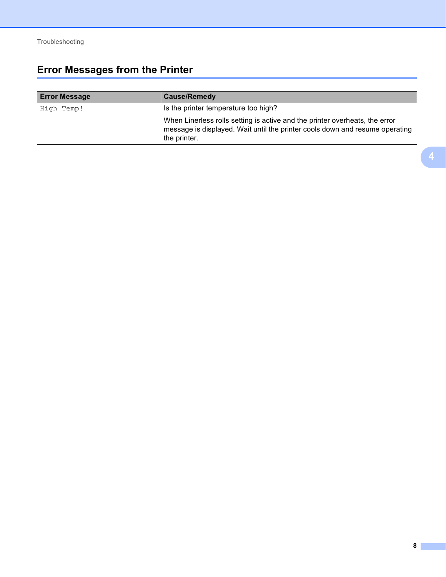### <span id="page-8-0"></span>**Error Messages from the Printer <sup>4</sup>**

| <b>Error Message</b> | <b>Cause/Remedy</b>                                                                                                                                                         |
|----------------------|-----------------------------------------------------------------------------------------------------------------------------------------------------------------------------|
| High Temp!           | Is the printer temperature too high?                                                                                                                                        |
|                      | When Linerless rolls setting is active and the printer overheats, the error<br>message is displayed. Wait until the printer cools down and resume operating<br>the printer. |